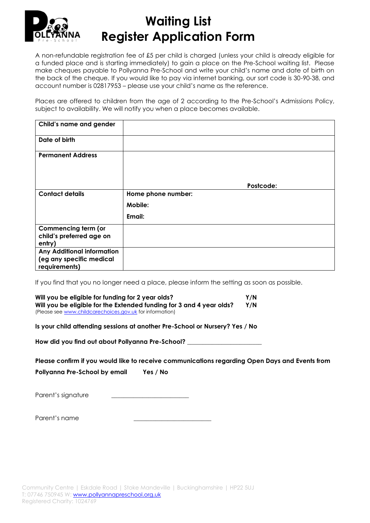

## **Waiting List Register Application Form**

A non-refundable registration fee of £5 per child is charged (unless your child is already eligible for a funded place and is starting immediately) to gain a place on the Pre-School waiting list. Please make cheques payable to Pollyanna Pre-School and write your child's name and date of birth on the back of the cheque. If you would like to pay via internet banking, our sort code is 30-90-38, and account number is 02817953 – please use your child's name as the reference.

Places are offered to children from the age of 2 according to the Pre-School's Admissions Policy, subject to availability. We will notify you when a place becomes available.

| Child's name and gender                                                        |                    |
|--------------------------------------------------------------------------------|--------------------|
| Date of birth                                                                  |                    |
| <b>Permanent Address</b>                                                       |                    |
|                                                                                | Postcode:          |
| <b>Contact details</b>                                                         | Home phone number: |
|                                                                                | Mobile:            |
|                                                                                | Email:             |
| <b>Commencing term (or</b><br>child's preferred age on<br>entry)               |                    |
| <b>Any Additional information</b><br>(eg any specific medical<br>requirements) |                    |

If you find that you no longer need a place, please inform the setting as soon as possible.

| Will you be eligible for funding for 2 year olds? |                                                                      | Y/N |  |
|---------------------------------------------------|----------------------------------------------------------------------|-----|--|
|                                                   | Will you be eligible for the Extended funding for 3 and 4 year olds? | Y/N |  |
|                                                   | (Please see www.childcarechoices.gov.uk for information)             |     |  |

**Is your child attending sessions at another Pre-School or Nursery? Yes / No**

**How did you find out about Pollyanna Pre-School? \_\_\_\_\_\_\_\_\_\_\_\_\_\_\_\_\_\_\_\_\_\_\_\_**

**Please confirm if you would like to receive communications regarding Open Days and Events from** 

**Pollyanna Pre-School by email Yes / No**

Parent's signature

Parent's name